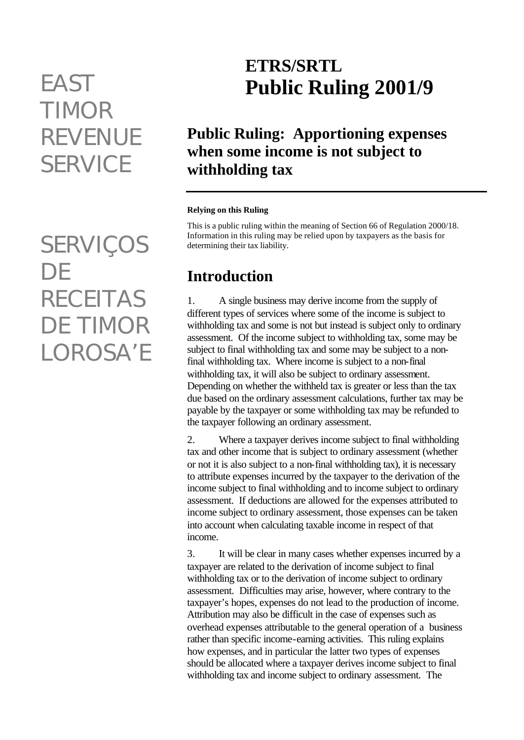# *TIMOR REVENUE SERVICE*

*SERVIÇOS DE RECEITAS DE TIMOR LOROSA'E*

## **ETRS/SRTL** *EAST* **Public Ruling 2001/9**

## **Public Ruling: Apportioning expenses when some income is not subject to withholding tax**

#### **Relying on this Ruling**

This is a public ruling within the meaning of Section 66 of Regulation 2000/18. Information in this ruling may be relied upon by taxpayers as the basis for determining their tax liability.

#### **Introduction**

1. A single business may derive income from the supply of different types of services where some of the income is subject to withholding tax and some is not but instead is subject only to ordinary assessment. Of the income subject to withholding tax, some may be subject to final withholding tax and some may be subject to a nonfinal withholding tax. Where income is subject to a non-final withholding tax, it will also be subject to ordinary assessment. Depending on whether the withheld tax is greater or less than the tax due based on the ordinary assessment calculations, further tax may be payable by the taxpayer or some withholding tax may be refunded to the taxpayer following an ordinary assessment.

2. Where a taxpayer derives income subject to final withholding tax and other income that is subject to ordinary assessment (whether or not it is also subject to a non-final withholding tax), it is necessary to attribute expenses incurred by the taxpayer to the derivation of the income subject to final withholding and to income subject to ordinary assessment. If deductions are allowed for the expenses attributed to income subject to ordinary assessment, those expenses can be taken into account when calculating taxable income in respect of that income.

3. It will be clear in many cases whether expenses incurred by a taxpayer are related to the derivation of income subject to final withholding tax or to the derivation of income subject to ordinary assessment. Difficulties may arise, however, where contrary to the taxpayer's hopes, expenses do not lead to the production of income. Attribution may also be difficult in the case of expenses such as overhead expenses attributable to the general operation of a business rather than specific income-earning activities. This ruling explains how expenses, and in particular the latter two types of expenses should be allocated where a taxpayer derives income subject to final withholding tax and income subject to ordinary assessment. The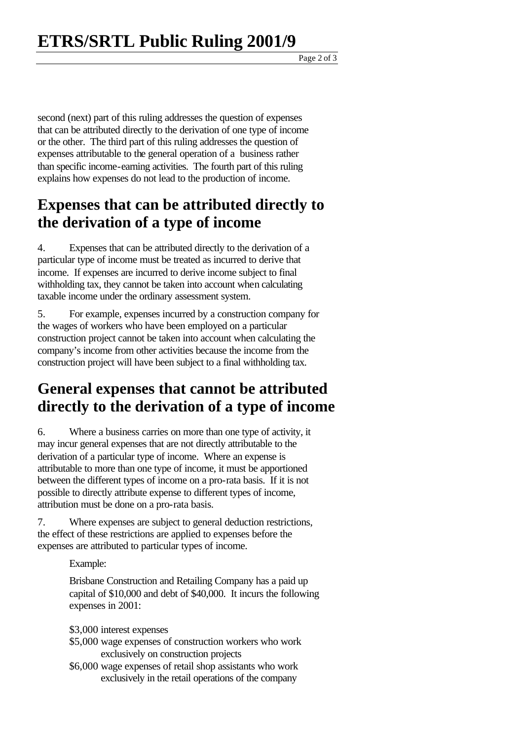Page 2 of 3

second (next) part of this ruling addresses the question of expenses that can be attributed directly to the derivation of one type of income or the other. The third part of this ruling addresses the question of expenses attributable to the general operation of a business rather than specific income-earning activities. The fourth part of this ruling explains how expenses do not lead to the production of income.

#### **Expenses that can be attributed directly to the derivation of a type of income**

4. Expenses that can be attributed directly to the derivation of a particular type of income must be treated as incurred to derive that income. If expenses are incurred to derive income subject to final withholding tax, they cannot be taken into account when calculating taxable income under the ordinary assessment system.

5. For example, expenses incurred by a construction company for the wages of workers who have been employed on a particular construction project cannot be taken into account when calculating the company's income from other activities because the income from the construction project will have been subject to a final withholding tax.

### **General expenses that cannot be attributed directly to the derivation of a type of income**

6. Where a business carries on more than one type of activity, it may incur general expenses that are not directly attributable to the derivation of a particular type of income. Where an expense is attributable to more than one type of income, it must be apportioned between the different types of income on a pro-rata basis. If it is not possible to directly attribute expense to different types of income, attribution must be done on a pro-rata basis.

7. Where expenses are subject to general deduction restrictions, the effect of these restrictions are applied to expenses before the expenses are attributed to particular types of income.

Example:

Brisbane Construction and Retailing Company has a paid up capital of \$10,000 and debt of \$40,000. It incurs the following expenses in 2001:

- \$3,000 interest expenses
- \$5,000 wage expenses of construction workers who work exclusively on construction projects
- \$6,000 wage expenses of retail shop assistants who work exclusively in the retail operations of the company